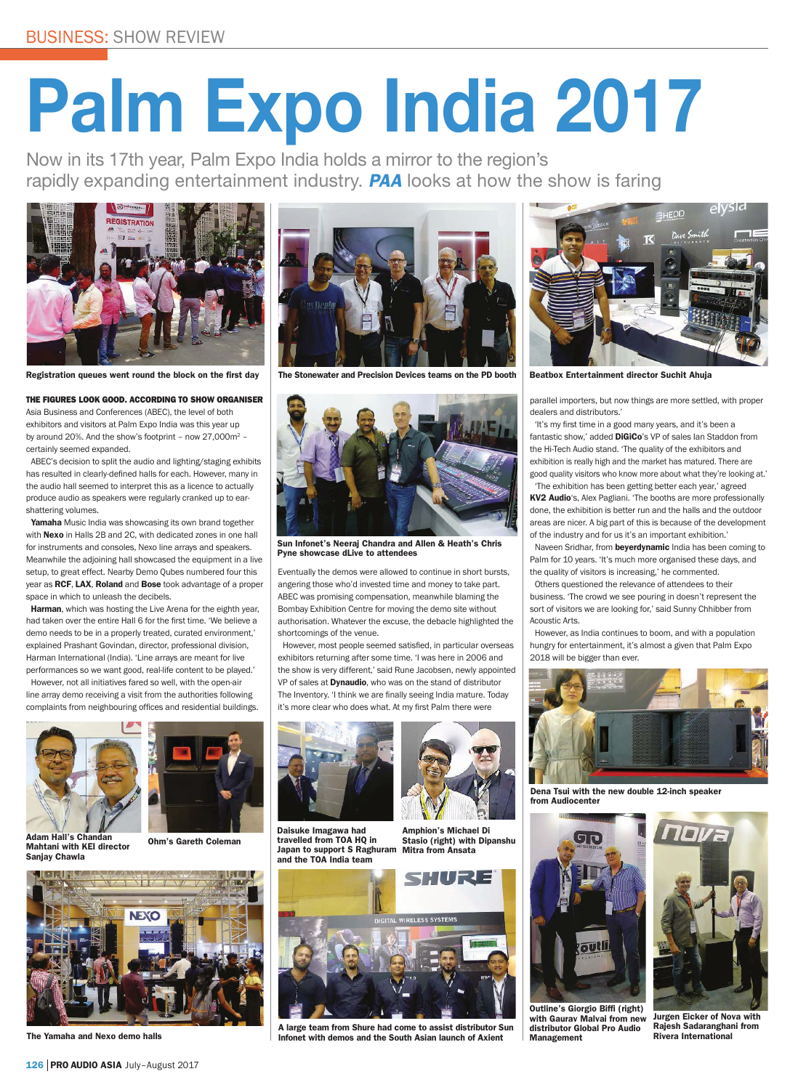## **Palm Expo India 2017**

Now in its 17th year, Palm Expo India holds a mirror to the region's rapidly expanding entertainment industry. **PAA** looks at how the show is faring



Registration queues went round the block on the first day

## THE FIGURES LOOK GOOD. ACCORDING TO SHOW ORGANISER

Asia Business and Conferences (ABEC), the level of both exhibitors and visitors at Palm Expo India was this year up by around 20%. And the show's footprint – now 27,000m2 – certainly seemed expanded.

ABEC's decision to split the audio and lighting/staging exhibits has resulted in clearly-defined halls for each. However, many in the audio hall seemed to interpret this as a licence to actually produce audio as speakers were regularly cranked up to earshattering volumes.

Yamaha Music India was showcasing its own brand together with Nexo in Halls 2B and 2C, with dedicated zones in one hall for instruments and consoles, Nexo line arrays and speakers. Meanwhile the adjoining hall showcased the equipment in a live setup, to great effect. Nearby Demo Qubes numbered four this year as RCF, LAX, Roland and Bose took advantage of a proper space in which to unleash the decibels.

Harman, which was hosting the Live Arena for the eighth year, had taken over the entire Hall 6 for the first time. 'We believe a demo needs to be in a properly treated, curated environment,' explained Prashant Govindan, director, professional division, Harman International (India). 'Line arrays are meant for live performances so we want good, real-life content to be played.'

However, not all initiatives fared so well, with the open-air line array demo receiving a visit from the authorities following complaints from neighbouring offices and residential buildings.



Adam Hall's Chandan Mahtani with KEI director Sanjay Chawla

Ohm's Gareth Coleman



The Yamaha and Nexo demo halls



The Stonewater and Precision Devices teams on the PD booth



Sun Infonet's Neeraj Chandra and Allen & Heath's Chris Pyne showcase dLive to attendees

Eventually the demos were allowed to continue in short bursts, angering those who'd invested time and money to take part. ABEC was promising compensation, meanwhile blaming the Bombay Exhibition Centre for moving the demo site without authorisation. Whatever the excuse, the debacle highlighted the shortcomings of the venue.

However, most people seemed satisfied, in particular overseas exhibitors returning after some time. 'I was here in 2006 and the show is very different,' said Rune Jacobsen, newly appointed VP of sales at **Dynaudio**, who was on the stand of distributor The Inventory. 'I think we are finally seeing India mature. Today it's more clear who does what. At my first Palm there were



Daisuke Imagawa had travelled from TOA HQ in Japan to support S Raghuram and the TOA India team



Amphion's Michael Di Stasio (right) with Dinanshu

A large team from Shure had come to assist distributor Sun Infonet with demos and the South Asian launch of Axient



Beatbox Entertainment director Suchit Ahuja

parallel importers, but now things are more settled, with proper dealers and distributors.'

'It's my first time in a good many years, and it's been a fantastic show,' added DiGiCo's VP of sales Ian Staddon from the Hi-Tech Audio stand. 'The quality of the exhibitors and exhibition is really high and the market has matured. There are good quality visitors who know more about what they're looking at.' 'The exhibition has been getting better each year,' agreed

KV2 Audio's, Alex Pagliani. 'The booths are more professionally done, the exhibition is better run and the halls and the outdoor areas are nicer. A big part of this is because of the development of the industry and for us it's an important exhibition.'

Naveen Sridhar, from beyerdynamic India has been coming to Palm for 10 years. 'It's much more organised these days, and the quality of visitors is increasing,' he commented.

Others questioned the relevance of attendees to their business. 'The crowd we see pouring in doesn't represent the sort of visitors we are looking for,' said Sunny Chhibber from

Acoustic Arts. However, as India continues to boom, and with a population hungry for entertainment, it's almost a given that Palm Expo 2018 will be bigger than ever.



Dena Tsui with the new double 12-inch speaker from Audiocenter



Outline's Giorgio Biffi (right) with Gaurav Malvai from new distributor Global Pro Audio Management



Jurgen Eicker of Nova with Rajesh Sadaranghani from Rivera International